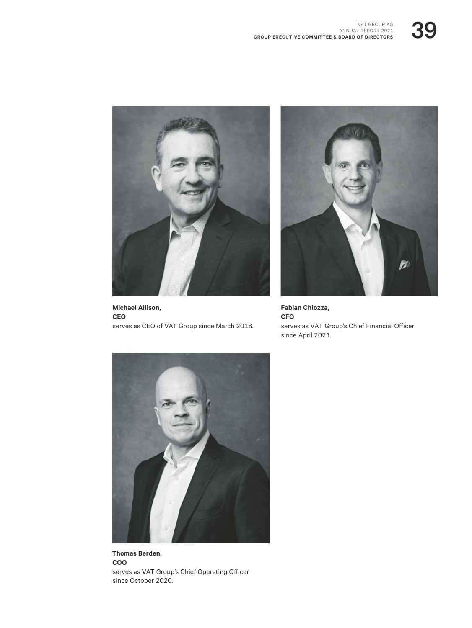



**Michael Allison, CEO** serves as CEO of VAT Group since March 2018.



**Fabian Chiozza, CFO** serves as VAT Group's Chief Financial Officer since April 2021.



**Thomas Berden, COO** serves as VAT Group's Chief Operating Officer since October 2020.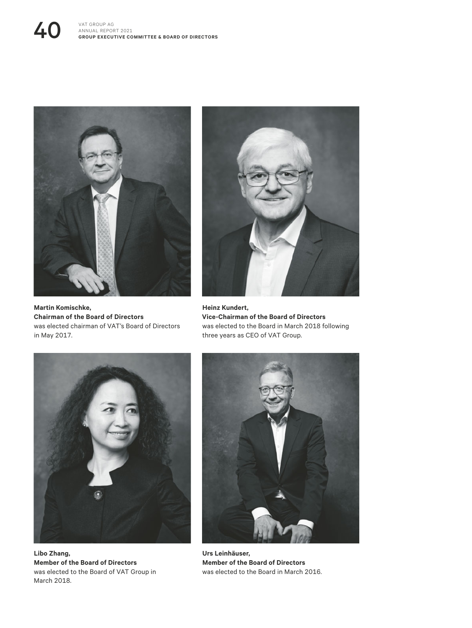## **40** VAT GROUP AG ANNUAL REPOR ANNUAL REPORT 2021 **GROUP EXECUTIVE COMMITTEE & BOARD OF DIRECTORS**



**Martin Komischke, Chairman of the Board of Directors** was elected chairman of VAT's Board of Directors in May 2017.



**Heinz Kundert, Vice-Chairman of the Board of Directors** was elected to the Board in March 2018 following three years as CEO of VAT Group.



**Libo Zhang, Member of the Board of Directors** was elected to the Board of VAT Group in March 2018.



**Urs Leinhäuser, Member of the Board of Directors** was elected to the Board in March 2016.